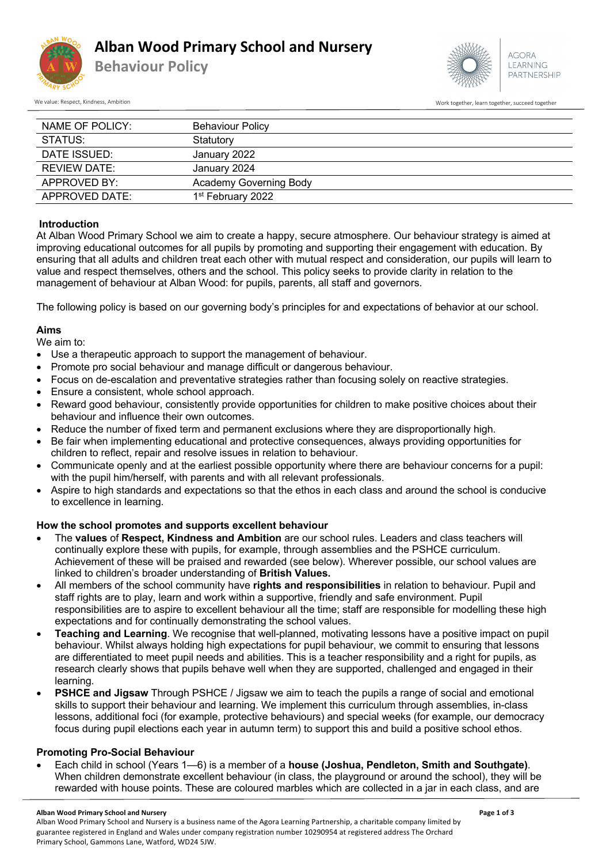

**Behaviour Policy**



We value: Respect, Kindness, Ambition Work together, succeed together, succeed together, succeed together, succeed together

| NAME OF POLICY: | <b>Behaviour Policy</b>       |
|-----------------|-------------------------------|
| STATUS:         | Statutory                     |
| DATE ISSUED:    | January 2022                  |
| REVIEW DATE:    | January 2024                  |
| APPROVED BY:    | <b>Academy Governing Body</b> |
| APPROVED DATE:  | 1 <sup>st</sup> February 2022 |

# **Introduction**

At Alban Wood Primary School we aim to create a happy, secure atmosphere. Our behaviour strategy is aimed at improving educational outcomes for all pupils by promoting and supporting their engagement with education. By ensuring that all adults and children treat each other with mutual respect and consideration, our pupils will learn to value and respect themselves, others and the school. This policy seeks to provide clarity in relation to the management of behaviour at Alban Wood: for pupils, parents, all staff and governors.

The following policy is based on our governing body's principles for and expectations of behavior at our school.

## **Aims**

We aim to:

- Use a therapeutic approach to support the management of behaviour.
- Promote pro social behaviour and manage difficult or dangerous behaviour.
- Focus on de-escalation and preventative strategies rather than focusing solely on reactive strategies.
- Ensure a consistent, whole school approach.
- Reward good behaviour, consistently provide opportunities for children to make positive choices about their behaviour and influence their own outcomes.
- Reduce the number of fixed term and permanent exclusions where they are disproportionally high.
- Be fair when implementing educational and protective consequences, always providing opportunities for children to reflect, repair and resolve issues in relation to behaviour.
- Communicate openly and at the earliest possible opportunity where there are behaviour concerns for a pupil: with the pupil him/herself, with parents and with all relevant professionals.
- Aspire to high standards and expectations so that the ethos in each class and around the school is conducive to excellence in learning.

# **How the school promotes and supports excellent behaviour**

- The **values** of **Respect, Kindness and Ambition** are our school rules. Leaders and class teachers will continually explore these with pupils, for example, through assemblies and the PSHCE curriculum. Achievement of these will be praised and rewarded (see below). Wherever possible, our school values are linked to children's broader understanding of **British Values.**
- All members of the school community have **rights and responsibilities** in relation to behaviour. Pupil and staff rights are to play, learn and work within a supportive, friendly and safe environment. Pupil responsibilities are to aspire to excellent behaviour all the time; staff are responsible for modelling these high expectations and for continually demonstrating the school values.
- **Teaching and Learning**. We recognise that well-planned, motivating lessons have a positive impact on pupil behaviour. Whilst always holding high expectations for pupil behaviour, we commit to ensuring that lessons are differentiated to meet pupil needs and abilities. This is a teacher responsibility and a right for pupils, as research clearly shows that pupils behave well when they are supported, challenged and engaged in their learning.
- **PSHCE and Jigsaw** Through PSHCE / Jigsaw we aim to teach the pupils a range of social and emotional skills to support their behaviour and learning. We implement this curriculum through assemblies, in-class lessons, additional foci (for example, protective behaviours) and special weeks (for example, our democracy focus during pupil elections each year in autumn term) to support this and build a positive school ethos.

### **Promoting Pro-Social Behaviour**

• Each child in school (Years 1—6) is a member of a **house (Joshua, Pendleton, Smith and Southgate)**. When children demonstrate excellent behaviour (in class, the playground or around the school), they will be rewarded with house points. These are coloured marbles which are collected in a jar in each class, and are

#### **Alban Wood Primary School and Nursery Page 1 of 3**

Alban Wood Primary School and Nursery is a business name of the Agora Learning Partnership, a charitable company limited by guarantee registered in England and Wales under company registration number 10290954 at registered address The Orchard Primary School, Gammons Lane, Watford, WD24 5JW.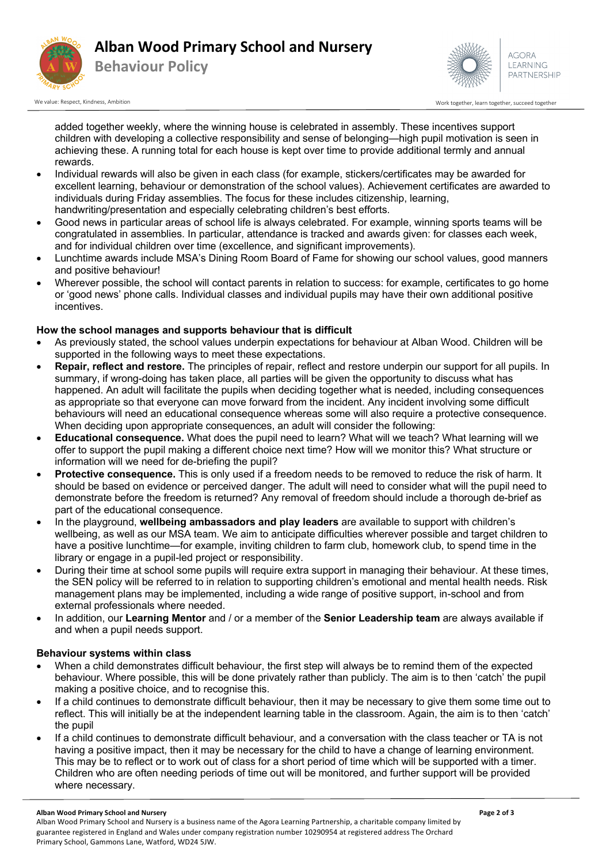

# **Alban Wood Primary School and Nursery**





We value: Respect, Kindness, Ambition Work together, succeed together with the succeed together, succeed together, succeed together, succeed together, succeed together, succeed together, succeed together, succeed together,

added together weekly, where the winning house is celebrated in assembly. These incentives support children with developing a collective responsibility and sense of belonging—high pupil motivation is seen in achieving these. A running total for each house is kept over time to provide additional termly and annual rewards.

- Individual rewards will also be given in each class (for example, stickers/certificates may be awarded for excellent learning, behaviour or demonstration of the school values). Achievement certificates are awarded to individuals during Friday assemblies. The focus for these includes citizenship, learning, handwriting/presentation and especially celebrating children's best efforts.
- Good news in particular areas of school life is always celebrated. For example, winning sports teams will be congratulated in assemblies. In particular, attendance is tracked and awards given: for classes each week, and for individual children over time (excellence, and significant improvements).
- Lunchtime awards include MSA's Dining Room Board of Fame for showing our school values, good manners and positive behaviour!
- Wherever possible, the school will contact parents in relation to success: for example, certificates to go home or 'good news' phone calls. Individual classes and individual pupils may have their own additional positive incentives.

# **How the school manages and supports behaviour that is difficult**

- As previously stated, the school values underpin expectations for behaviour at Alban Wood. Children will be supported in the following ways to meet these expectations.
- **Repair, reflect and restore.** The principles of repair, reflect and restore underpin our support for all pupils. In summary, if wrong-doing has taken place, all parties will be given the opportunity to discuss what has happened. An adult will facilitate the pupils when deciding together what is needed, including consequences as appropriate so that everyone can move forward from the incident. Any incident involving some difficult behaviours will need an educational consequence whereas some will also require a protective consequence. When deciding upon appropriate consequences, an adult will consider the following:
- **Educational consequence.** What does the pupil need to learn? What will we teach? What learning will we offer to support the pupil making a different choice next time? How will we monitor this? What structure or information will we need for de-briefing the pupil?
- **Protective consequence.** This is only used if a freedom needs to be removed to reduce the risk of harm. It should be based on evidence or perceived danger. The adult will need to consider what will the pupil need to demonstrate before the freedom is returned? Any removal of freedom should include a thorough de-brief as part of the educational consequence.
- In the playground, **wellbeing ambassadors and play leaders** are available to support with children's wellbeing, as well as our MSA team. We aim to anticipate difficulties wherever possible and target children to have a positive lunchtime—for example, inviting children to farm club, homework club, to spend time in the library or engage in a pupil-led project or responsibility.
- During their time at school some pupils will require extra support in managing their behaviour. At these times, the SEN policy will be referred to in relation to supporting children's emotional and mental health needs. Risk management plans may be implemented, including a wide range of positive support, in-school and from external professionals where needed.
- In addition, our **Learning Mentor** and / or a member of the **Senior Leadership team** are always available if and when a pupil needs support.

# **Behaviour systems within class**

- When a child demonstrates difficult behaviour, the first step will always be to remind them of the expected behaviour. Where possible, this will be done privately rather than publicly. The aim is to then 'catch' the pupil making a positive choice, and to recognise this.
- If a child continues to demonstrate difficult behaviour, then it may be necessary to give them some time out to reflect. This will initially be at the independent learning table in the classroom. Again, the aim is to then 'catch' the pupil
- If a child continues to demonstrate difficult behaviour, and a conversation with the class teacher or TA is not having a positive impact, then it may be necessary for the child to have a change of learning environment. This may be to reflect or to work out of class for a short period of time which will be supported with a timer. Children who are often needing periods of time out will be monitored, and further support will be provided where necessary.

#### **Alban Wood Primary School and Nursery Page 2 of 3**

Alban Wood Primary School and Nursery is a business name of the Agora Learning Partnership, a charitable company limited by guarantee registered in England and Wales under company registration number 10290954 at registered address The Orchard Primary School, Gammons Lane, Watford, WD24 5JW.